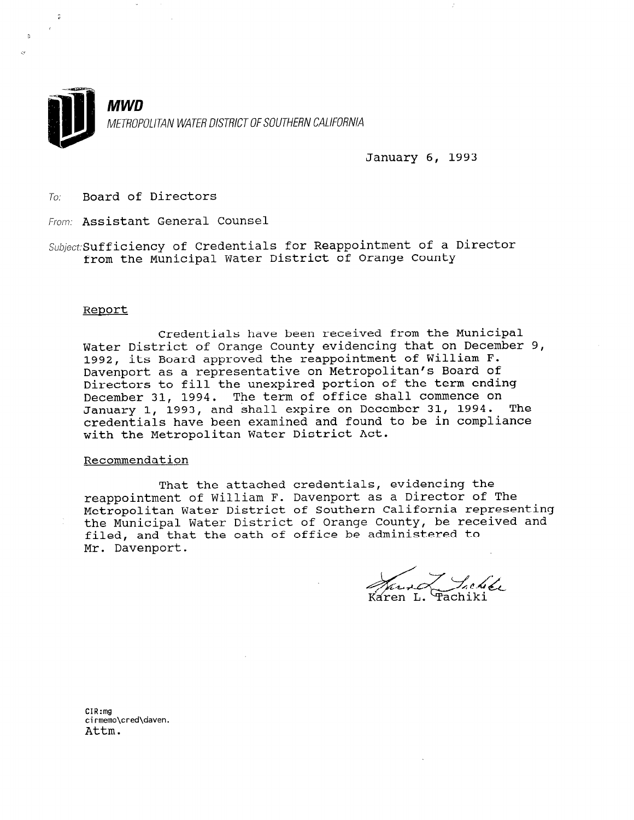

January 6, 1993

To: Board of Directors

From: Assistant General Counsel

Subject: Sufficiency of Credentials for Reappointment of a Director from the Municipal Water District of Orange County

#### Report

Credentials have been received from the Municipal Water District of Orange County evidencing that on December 9, 1992, its Board approved the reappointment of William F. Davenport as a representative on Metropolitan's Board of Directors to fill the unexpired portion of the term ending December 31, 1994. The term of office shall commence on January 1, 1993, and shall expire on December 31, 1994. The credentials have been examined and found to be in compliance with the Metropolitan Water District Act.

#### Recommendation

That the attached credentials, evidencing the reappointment of William F. Davenport as a Director of The Metropolitan Water District of Southern California representing the Municipal Water District of Orange County, be received and filed, and that the oath of office be administered to Mr. Davenport.

L. Lehe

 $CIR:mg$ cirmemo\cred\daven.<br>Attm.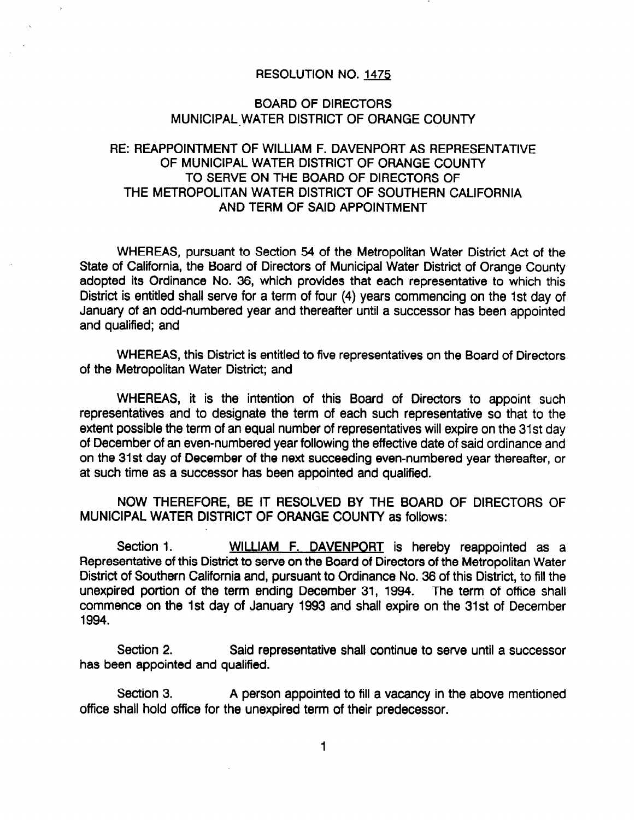#### RESOLUTION NO. 1473

#### BOARD OF DIRECTORS MUNICIPAL-WATER DISTRICT OF ORANGE COUNTY

### RE: REAPPOINTMENT OF WILLIAM F. DAVENPORT AS REPRESENTATIVE OF MUNICIPAL WATER DISTRICT OF ORANGE COUNTY TO SERVE ON THE BOARD OF DIRECTORS OF THE METROPOLITAN WATER DISTRICT OF SOUTHERN CALIFORNIA AND TERM OF SAID APPOINTMENT

WHEREAS, pursuant to Section 54 of the Metropolitan Water District Act of the State of California, the Board of Directors of Municipal Water District of Orange County adopted its Ordinance No. 36, which provides that each representative to which this District is entitled shall serve for a term of four (4) years commencing on the 1st day of January of an odd-numbered year and thereafter until a successor has been appointed and qualified; and

WHEREAS, this District is entitled to five representatives on the Board of Directors of the Metropolitan Water District; and

WHEREAS, it is the intention of this Board of Directors to appoint such representatives and to designate the term of each such representative so that to the extent possible the term of an equal number of representatives will expire on the 31st day of December of an even-numbered year following the effective date of said ordinance and on the 31st day of December of the next succeeding even-numbered year thereafter, or at such time as a successor has been appointed and qualified.

NOW THEREFORE, BE IT RESOLVED BY THE BOARD OF DIRECTORS OF MUNICIPAL WATER DISTRICT OF ORANGE COUNTY as follows:

Section 1. WILLIAM F. DAVENPORT is hereby reappointed as a Representative of this District to serve on the Board of Directors of the Metropolitan Water District of Southern California and, pursuant to Ordinance No. 36 of this District, to fill the unexpired portion of the term ending December 31, 1994. The term, of office shall commence on the 1st day of January 1993 and shall expire on the 31st of December 1994.

Section 2. Said representative shall continue to serve until a successor has been appointed and qualified.

Section 3. A person appointed to fill a vacancy in the above mentioned office shall hold office for the unexpired term of their predecessor.

1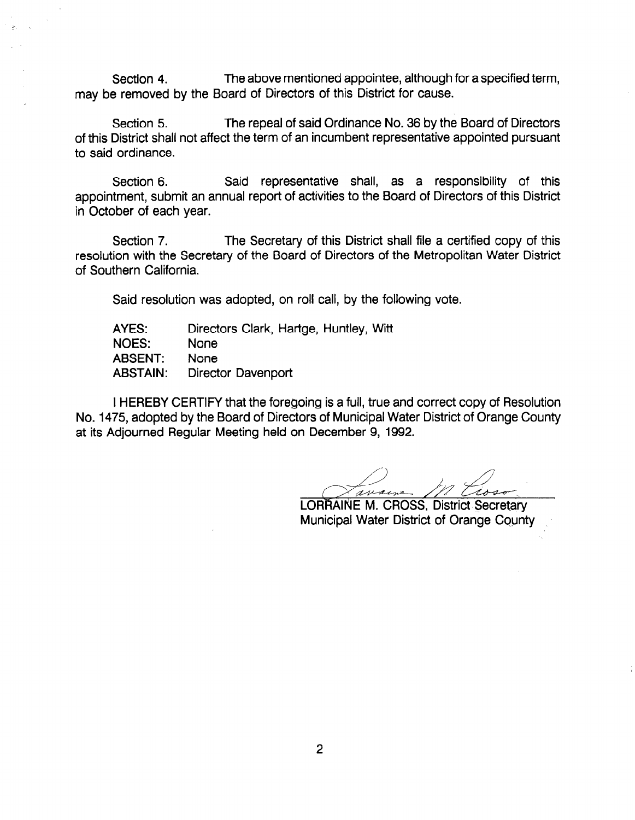Section 4. The above mentioned appointee, although for a specified term, may be removed by the Board of Directors of this District for cause.

Section 5. The repeal of said Ordinance No. 36 by the Board of Directors of this District shall not affect the term of an incumbent representative appointed pursuant to said ordinance.

Section 6. Said representative shall, as a responsibility of this appointment, submit an annual report of activities to the Board of Directors of this District in October of each year.

Section 7. The Secretary of this District shall file a certified copy of this resolution with the Secretary of the Board of Directors of the Metropolitan Water District of Southern California.

Said resolution was adopted, on roll call, by the following vote.

| AYES:           | Directors Clark, Hartge, Huntley, Witt |
|-----------------|----------------------------------------|
| <b>NOES:</b>    | <b>None</b>                            |
| <b>ABSENT:</b>  | <b>None</b>                            |
| <b>ABSTAIN:</b> | Director Davenport                     |

I HEREBY CERTIFY that the foregoing is a full, true and correct copy of Resolution No. 1475, adopted by the Board of Directors of Municipal Water District of Orange County at its Adjourned Regular Meeting held on December 9, 1992.

/i A7 L..

LORRAINE M. CROSS, District Secretary Municipal Water District of Orange County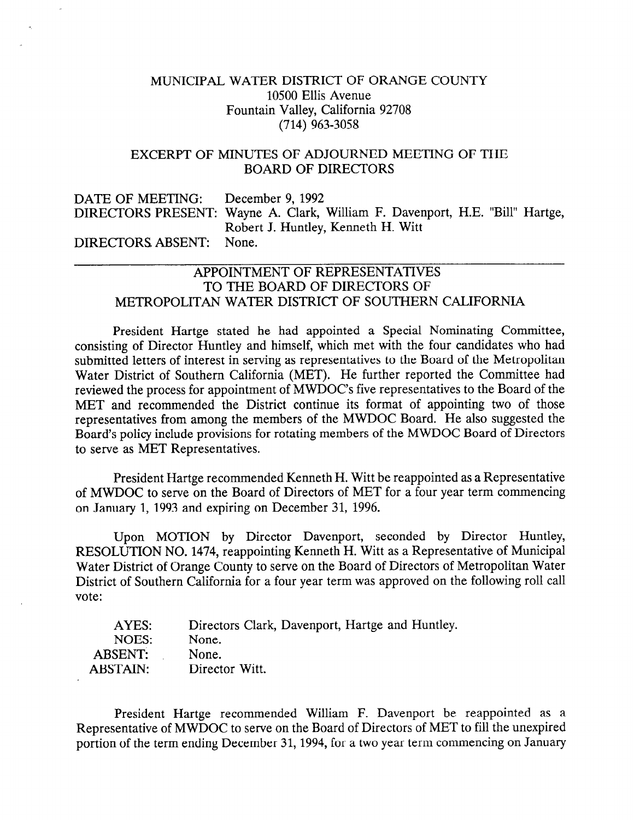### MUNICIPAL WATER DISTRICT OF ORANGE COUNTY 10500 Ellis Avenue Fountain Valley, California 92708 (714) 963-3058

#### EXCERPT OF MINUTES OF ADJOURNED MEETING OF THE BOARD OF DIRECTORS

DATE OF MEETING: December 9, 1992 DIRECTORS PRESENT: Wayne A. Clark, William F. Davenport, H.E. "Bill" Hartge, Robert J. Huntley, Kenneth H. Witt DIRECTORS ABSENT: None.

## APPOINTMENT OF REPRESENTATIVES TO THE BOARD OF DIRECTORS OF METROPOLITAN WATER DISTRICT OF SOUTHERN CALIFORNIA

President Hartge stated he had appointed a Special Nominating Committee, consisting of Director Huntley and himself, which met with the four candidates who had submitted letters of interest in serving as representatives to the Board of the Metropolitan Water District of Southern California (MET). He further reported the Committee had reviewed the process for appointment of MWDOC's five representatives to the Board of the MET and recommended the District continue its format of appointing two of those representatives from among the members of the MWDOC Board. He also suggested the Board's policy include provisions for rotating members of the MWDOC Board of Directors to serve as MET Representatives.

President Hartge recommended Kenneth H. Witt be reappointed as a Representative of MWDOC to serve on the Board of Directors of MET for a four year term commencing on January 1, 1993 and expiring on December 31, 1996.

Upon MOTION by Director Davenport, seconded by Director Huntley, RESOLUTION NO. 1474, reappointing Kenneth H. Witt as a Representative of Municipal Water District of Orange County to serve on the Board of Directors of Metropolitan Water District of Southern California for a four year term was approved on the following roll call vote:

| AYES:           | Directors Clark, Davenport, Hartge and Huntley. |
|-----------------|-------------------------------------------------|
| NOES:           | None.                                           |
| <b>ABSENT:</b>  | None.                                           |
| <b>ABSTAIN:</b> | Director Witt.                                  |

President Hartge recommended William F. Davenport be reappointed as a Representative of MWDOC to serve on the Board of Directors of MET to fill the unexpired portion of the term ending December 31,1994, for a two year term commencing on January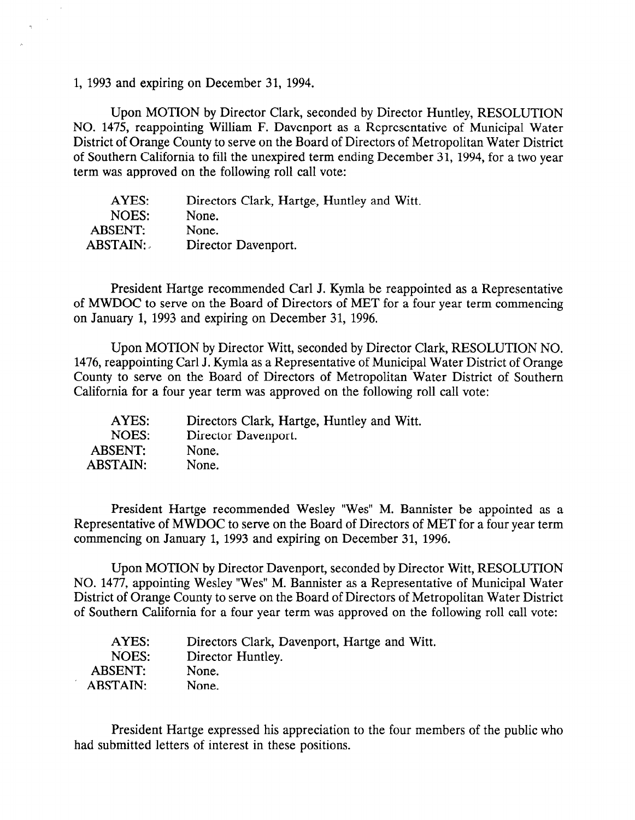1, 1993 and expiring on December 31, 1994.

Upon MOTION by Director Clark, seconded by Director Huntley, RESOLUTION NO. 1475, reappointing William F. Davenport as a Representative of Municipal Water District of Orange County to serve on the Board of Directors of Metropolitan Water District of Southern California to fill the unexpired term ending December 31, 1994, for a two year term was approved on the following roll call vote:

| AYES:           | Directors Clark, Hartge, Huntley and Witt. |
|-----------------|--------------------------------------------|
| NOES:           | None.                                      |
| ABSENT:         | None.                                      |
| <b>ABSTAIN:</b> | Director Davenport.                        |

President Hartge recommended Carl J. Kymla be reappointed as a Representative of MWDOC to serve on the Board of Directors of MET for a four year term commencing on January 1, 1993 and expiring on December 31, 1996.

Upon MOTION by Director Witt, seconded by Director Clark, RESOLUTION NO. 1476, reappointing Carl J. Kymla as a Representative of Municipal Water District of Orange County to serve on the Board of Directors of Metropolitan Water District of Southern California for a four year term was approved on the following roll call vote:

| AYES:          | Directors Clark, Hartge, Huntley and Witt. |
|----------------|--------------------------------------------|
| NOES:          | Director Davenport.                        |
| <b>ABSENT:</b> | None.                                      |
| ABSTAIN:       | None.                                      |

President Hartge recommended Wesley "Wes" M. Bannister be appointed as a Representative of MWDOC to serve on the Board of Directors of MET for a four year term commencing on January 1, 1993 and expiring on December 31, 1996.

Upon MOTION by Director Davenport, seconded by Director Witt, RESOLUTION NO. 1477, appointing Wesley "Wes" M. Bannister as a Representative of Municipal Water District of Orange County to serve on the Board of Directors of Metropolitan Water District of Southern California for a four year term was approved on the following roll call vote:

| AYES:           | Directors Clark, Davenport, Hartge and Witt. |
|-----------------|----------------------------------------------|
| NOES:           | Director Huntley.                            |
| <b>ABSENT:</b>  | None.                                        |
| <b>ABSTAIN:</b> | None.                                        |

President Hartge expressed his appreciation to the four members of the public who had submitted letters of interest in these positions.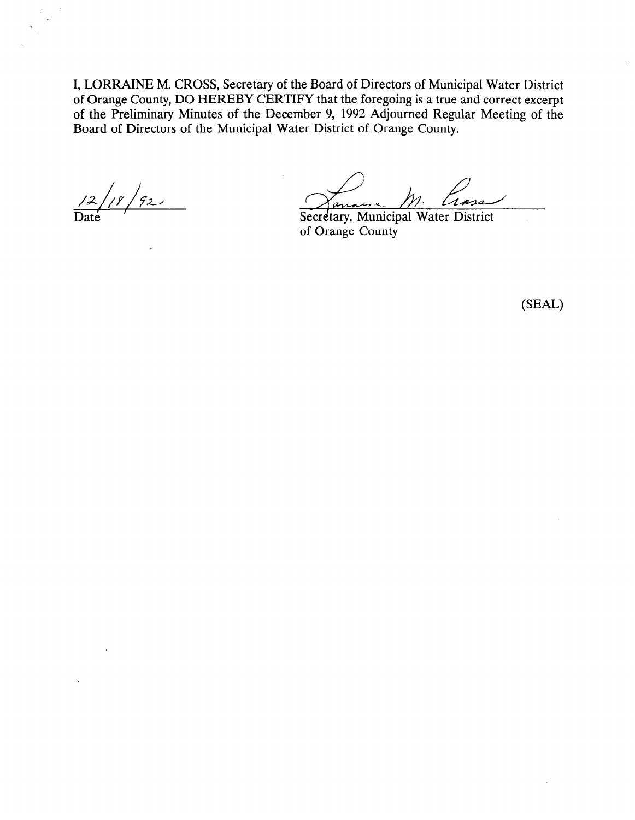I, LORRAINE M. CROSS, Secretary of the Board of Directors of Municipal Water District of Orange County, DO HEREBY CERTIFY that the foregoing is a true and correct excerpt of the Preliminary Minutes of the December 9, 1992 Adjourned Regular Meeting of the Board of Directors of the Municipal Water District of Orange County.

ן<br>א 'א'  $/92$ 

 $m_{\cdot}$ <u>Secretary, Municipal Water District</u>

of Orange County

 $(SEAL)$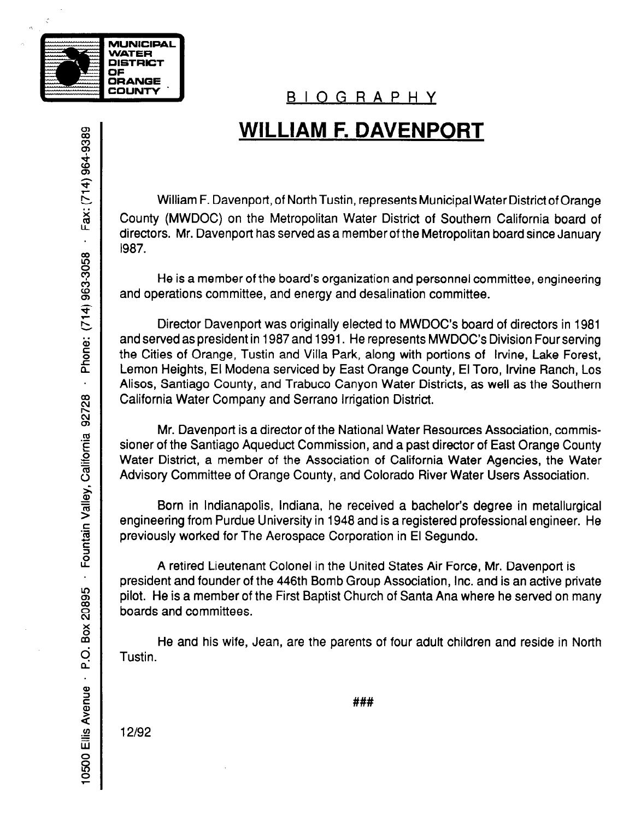

# BIOGRAPHY

# WILLIAM F. DAVENPORT

William F. Davenport, of North Tustin, represents Municipal Water District of Orange County (MWDOC) on the Metropolitan Water District of Southern California board of directors. Mr. Davenport has served as a member of the Metropolitan board since January 1987.

He is a member of the board's organization and personnel committee, engineering and operations committee, and energy and desalination committee.

Director Davenport was originally elected to MWDOC's board of directors in 1981 and served as president in 1987 and 1991. He represents MWDOC's Division Four serving the Cities of Orange, Tustin and Villa Park, along with portions of Irvine, Lake Forest, Lemon Heights, El Modena serviced by East Orange County, El Toro, Irvine Ranch, Los Alisos, Santiago County, and Trabuco Canyon Water Districts, as well as the Southern California Water Company and Serrano Irrigation District.

Mr. Davenport is a director of the National Water Resources Association, commissioner of the Santiago Aqueduct Commission, and a past director of East Orange County Water District, a member of the Association of California Water Agencies, the Water Advisory Committee of Orange County, and Colorado River Water Users Association.

Born in Indianapolis, Indiana, he received a bachelor's degree in metallurgical engineering from Purdue University in 1948 and is a registered professional engineer. He previously worked for The Aerospace Corporation in El Segundo.

A retired Lieutenant Colonel in the United States Air Force, Mr. Davenport is president and founder of the 446th Bomb Group Association, Inc. and is an active private pilot. He is a member of the First Baptist Church of Santa Ana where he served on many boards and committees.

He and his wife, Jean, are the parents of four adult children and reside in North Tustin.

Fax: (714) 964-9389  $\ddot{\phantom{a}}$ Phone: (714) 963-3058  $\ddot{\phantom{a}}$ - Fountain Valley, California 92728 Box 20895  $\overline{O}$ . 10500 Ellis Avenue -

###

12192